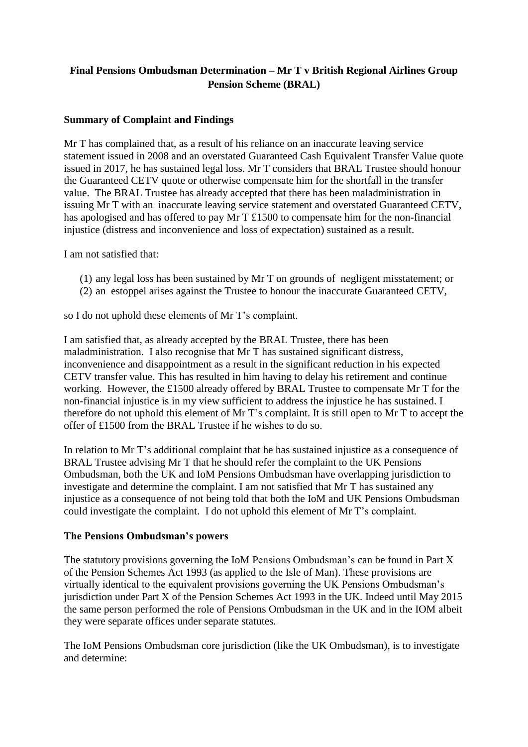# **Final Pensions Ombudsman Determination – Mr T v British Regional Airlines Group Pension Scheme (BRAL)**

### **Summary of Complaint and Findings**

Mr T has complained that, as a result of his reliance on an inaccurate leaving service statement issued in 2008 and an overstated Guaranteed Cash Equivalent Transfer Value quote issued in 2017, he has sustained legal loss. Mr T considers that BRAL Trustee should honour the Guaranteed CETV quote or otherwise compensate him for the shortfall in the transfer value. The BRAL Trustee has already accepted that there has been maladministration in issuing Mr T with an inaccurate leaving service statement and overstated Guaranteed CETV, has apologised and has offered to pay Mr T £1500 to compensate him for the non-financial injustice (distress and inconvenience and loss of expectation) sustained as a result.

I am not satisfied that:

- (1) any legal loss has been sustained by Mr T on grounds of negligent misstatement; or
- (2) an estoppel arises against the Trustee to honour the inaccurate Guaranteed CETV,

so I do not uphold these elements of Mr T's complaint.

I am satisfied that, as already accepted by the BRAL Trustee, there has been maladministration. I also recognise that Mr T has sustained significant distress, inconvenience and disappointment as a result in the significant reduction in his expected CETV transfer value. This has resulted in him having to delay his retirement and continue working. However, the £1500 already offered by BRAL Trustee to compensate Mr T for the non-financial injustice is in my view sufficient to address the injustice he has sustained. I therefore do not uphold this element of Mr T's complaint. It is still open to Mr T to accept the offer of £1500 from the BRAL Trustee if he wishes to do so.

In relation to Mr T's additional complaint that he has sustained injustice as a consequence of BRAL Trustee advising Mr T that he should refer the complaint to the UK Pensions Ombudsman, both the UK and IoM Pensions Ombudsman have overlapping jurisdiction to investigate and determine the complaint. I am not satisfied that Mr T has sustained any injustice as a consequence of not being told that both the IoM and UK Pensions Ombudsman could investigate the complaint. I do not uphold this element of Mr T's complaint.

### **The Pensions Ombudsman's powers**

The statutory provisions governing the IoM Pensions Ombudsman's can be found in Part X of the Pension Schemes Act 1993 (as applied to the Isle of Man). These provisions are virtually identical to the equivalent provisions governing the UK Pensions Ombudsman's jurisdiction under Part X of the Pension Schemes Act 1993 in the UK. Indeed until May 2015 the same person performed the role of Pensions Ombudsman in the UK and in the IOM albeit they were separate offices under separate statutes.

The IoM Pensions Ombudsman core jurisdiction (like the UK Ombudsman), is to investigate and determine: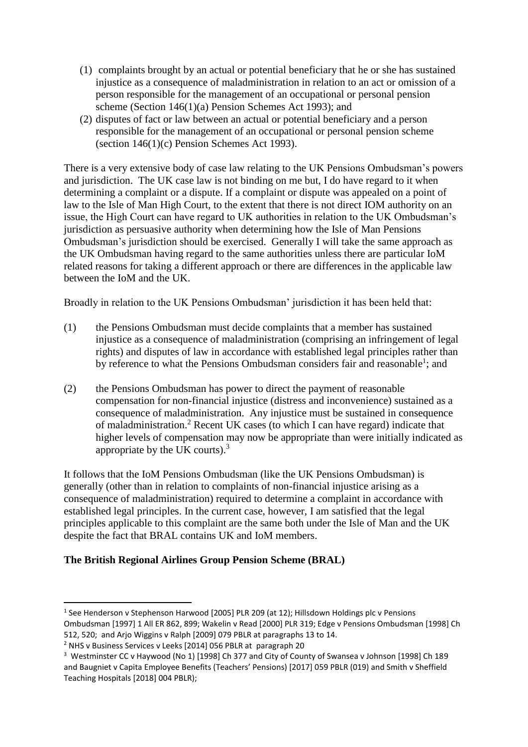- (1) complaints brought by an actual or potential beneficiary that he or she has sustained injustice as a consequence of maladministration in relation to an act or omission of a person responsible for the management of an occupational or personal pension scheme (Section 146(1)(a) Pension Schemes Act 1993); and
- (2) disputes of fact or law between an actual or potential beneficiary and a person responsible for the management of an occupational or personal pension scheme (section 146(1)(c) Pension Schemes Act 1993).

There is a very extensive body of case law relating to the UK Pensions Ombudsman's powers and jurisdiction. The UK case law is not binding on me but, I do have regard to it when determining a complaint or a dispute. If a complaint or dispute was appealed on a point of law to the Isle of Man High Court, to the extent that there is not direct IOM authority on an issue, the High Court can have regard to UK authorities in relation to the UK Ombudsman's jurisdiction as persuasive authority when determining how the Isle of Man Pensions Ombudsman's jurisdiction should be exercised. Generally I will take the same approach as the UK Ombudsman having regard to the same authorities unless there are particular IoM related reasons for taking a different approach or there are differences in the applicable law between the IoM and the UK.

Broadly in relation to the UK Pensions Ombudsman' jurisdiction it has been held that:

- (1) the Pensions Ombudsman must decide complaints that a member has sustained injustice as a consequence of maladministration (comprising an infringement of legal rights) and disputes of law in accordance with established legal principles rather than by reference to what the Pensions Ombudsman considers fair and reasonable<sup>1</sup>; and
- (2) the Pensions Ombudsman has power to direct the payment of reasonable compensation for non-financial injustice (distress and inconvenience) sustained as a consequence of maladministration. Any injustice must be sustained in consequence of maladministration.<sup>2</sup> Recent UK cases (to which I can have regard) indicate that higher levels of compensation may now be appropriate than were initially indicated as appropriate by the UK courts). $3$

It follows that the IoM Pensions Ombudsman (like the UK Pensions Ombudsman) is generally (other than in relation to complaints of non-financial injustice arising as a consequence of maladministration) required to determine a complaint in accordance with established legal principles. In the current case, however, I am satisfied that the legal principles applicable to this complaint are the same both under the Isle of Man and the UK despite the fact that BRAL contains UK and IoM members.

### **The British Regional Airlines Group Pension Scheme (BRAL)**

**.** 

<sup>&</sup>lt;sup>1</sup> See Henderson v Stephenson Harwood [2005] PLR 209 (at 12); Hillsdown Holdings plc v Pensions Ombudsman [1997] 1 All ER 862, 899; Wakelin v Read [2000] PLR 319; Edge v Pensions Ombudsman [1998] Ch 512, 520; and Arjo Wiggins v Ralph [2009] 079 PBLR at paragraphs 13 to 14.

<sup>2</sup> NHS v Business Services v Leeks [2014] 056 PBLR at paragraph 20

<sup>3</sup> Westminster CC v Haywood (No 1) [1998] Ch 377 and City of County of Swansea v Johnson [1998] Ch 189 and Baugniet v Capita Employee Benefits (Teachers' Pensions) [2017] 059 PBLR (019) and Smith v Sheffield Teaching Hospitals [2018] 004 PBLR);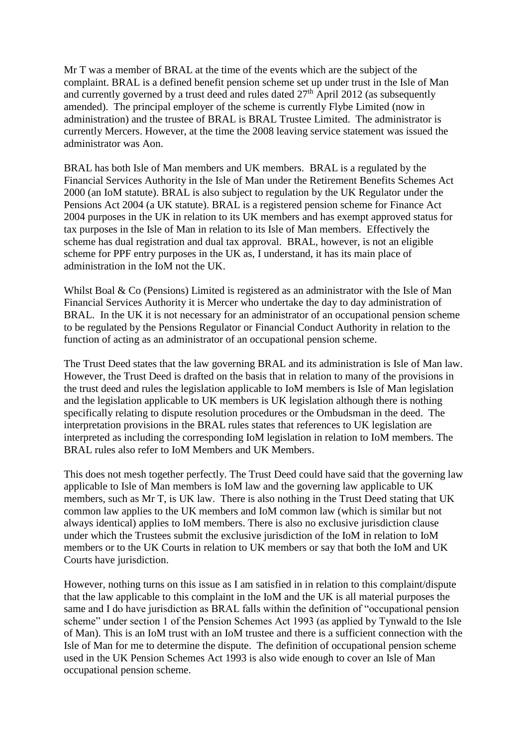Mr T was a member of BRAL at the time of the events which are the subject of the complaint. BRAL is a defined benefit pension scheme set up under trust in the Isle of Man and currently governed by a trust deed and rules dated  $27<sup>th</sup>$  April 2012 (as subsequently amended). The principal employer of the scheme is currently Flybe Limited (now in administration) and the trustee of BRAL is BRAL Trustee Limited. The administrator is currently Mercers. However, at the time the 2008 leaving service statement was issued the administrator was Aon.

BRAL has both Isle of Man members and UK members. BRAL is a regulated by the Financial Services Authority in the Isle of Man under the Retirement Benefits Schemes Act 2000 (an IoM statute). BRAL is also subject to regulation by the UK Regulator under the Pensions Act 2004 (a UK statute). BRAL is a registered pension scheme for Finance Act 2004 purposes in the UK in relation to its UK members and has exempt approved status for tax purposes in the Isle of Man in relation to its Isle of Man members. Effectively the scheme has dual registration and dual tax approval. BRAL, however, is not an eligible scheme for PPF entry purposes in the UK as, I understand, it has its main place of administration in the IoM not the UK.

Whilst Boal & Co (Pensions) Limited is registered as an administrator with the Isle of Man Financial Services Authority it is Mercer who undertake the day to day administration of BRAL. In the UK it is not necessary for an administrator of an occupational pension scheme to be regulated by the Pensions Regulator or Financial Conduct Authority in relation to the function of acting as an administrator of an occupational pension scheme.

The Trust Deed states that the law governing BRAL and its administration is Isle of Man law. However, the Trust Deed is drafted on the basis that in relation to many of the provisions in the trust deed and rules the legislation applicable to IoM members is Isle of Man legislation and the legislation applicable to UK members is UK legislation although there is nothing specifically relating to dispute resolution procedures or the Ombudsman in the deed. The interpretation provisions in the BRAL rules states that references to UK legislation are interpreted as including the corresponding IoM legislation in relation to IoM members. The BRAL rules also refer to IoM Members and UK Members.

This does not mesh together perfectly. The Trust Deed could have said that the governing law applicable to Isle of Man members is IoM law and the governing law applicable to UK members, such as Mr T, is UK law. There is also nothing in the Trust Deed stating that UK common law applies to the UK members and IoM common law (which is similar but not always identical) applies to IoM members. There is also no exclusive jurisdiction clause under which the Trustees submit the exclusive jurisdiction of the IoM in relation to IoM members or to the UK Courts in relation to UK members or say that both the IoM and UK Courts have jurisdiction.

However, nothing turns on this issue as I am satisfied in in relation to this complaint/dispute that the law applicable to this complaint in the IoM and the UK is all material purposes the same and I do have jurisdiction as BRAL falls within the definition of "occupational pension scheme" under section 1 of the Pension Schemes Act 1993 (as applied by Tynwald to the Isle of Man). This is an IoM trust with an IoM trustee and there is a sufficient connection with the Isle of Man for me to determine the dispute. The definition of occupational pension scheme used in the UK Pension Schemes Act 1993 is also wide enough to cover an Isle of Man occupational pension scheme.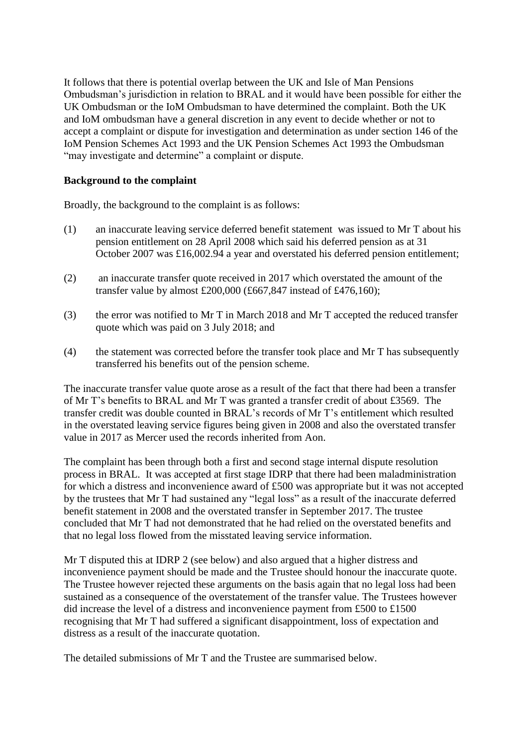It follows that there is potential overlap between the UK and Isle of Man Pensions Ombudsman's jurisdiction in relation to BRAL and it would have been possible for either the UK Ombudsman or the IoM Ombudsman to have determined the complaint. Both the UK and IoM ombudsman have a general discretion in any event to decide whether or not to accept a complaint or dispute for investigation and determination as under section 146 of the IoM Pension Schemes Act 1993 and the UK Pension Schemes Act 1993 the Ombudsman "may investigate and determine" a complaint or dispute.

#### **Background to the complaint**

Broadly, the background to the complaint is as follows:

- (1) an inaccurate leaving service deferred benefit statement was issued to Mr T about his pension entitlement on 28 April 2008 which said his deferred pension as at 31 October 2007 was £16,002.94 a year and overstated his deferred pension entitlement;
- (2) an inaccurate transfer quote received in 2017 which overstated the amount of the transfer value by almost £200,000 (£667,847 instead of £476,160);
- (3) the error was notified to Mr T in March 2018 and Mr T accepted the reduced transfer quote which was paid on 3 July 2018; and
- (4) the statement was corrected before the transfer took place and Mr T has subsequently transferred his benefits out of the pension scheme.

The inaccurate transfer value quote arose as a result of the fact that there had been a transfer of Mr T's benefits to BRAL and Mr T was granted a transfer credit of about £3569. The transfer credit was double counted in BRAL's records of Mr T's entitlement which resulted in the overstated leaving service figures being given in 2008 and also the overstated transfer value in 2017 as Mercer used the records inherited from Aon.

The complaint has been through both a first and second stage internal dispute resolution process in BRAL. It was accepted at first stage IDRP that there had been maladministration for which a distress and inconvenience award of £500 was appropriate but it was not accepted by the trustees that Mr T had sustained any "legal loss" as a result of the inaccurate deferred benefit statement in 2008 and the overstated transfer in September 2017. The trustee concluded that Mr T had not demonstrated that he had relied on the overstated benefits and that no legal loss flowed from the misstated leaving service information.

Mr T disputed this at IDRP 2 (see below) and also argued that a higher distress and inconvenience payment should be made and the Trustee should honour the inaccurate quote. The Trustee however rejected these arguments on the basis again that no legal loss had been sustained as a consequence of the overstatement of the transfer value. The Trustees however did increase the level of a distress and inconvenience payment from £500 to £1500 recognising that Mr T had suffered a significant disappointment, loss of expectation and distress as a result of the inaccurate quotation.

The detailed submissions of Mr T and the Trustee are summarised below.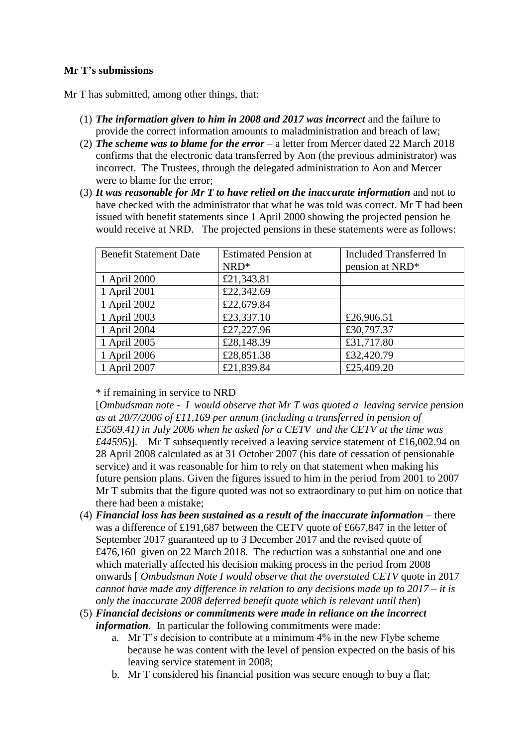### **Mr T's submissions**

Mr T has submitted, among other things, that:

- (1) *The information given to him in 2008 and 2017 was incorrect* and the failure to provide the correct information amounts to maladministration and breach of law;
- (2) *The scheme was to blame for the error* a letter from Mercer dated 22 March 2018 confirms that the electronic data transferred by Aon (the previous administrator) was incorrect. The Trustees, through the delegated administration to Aon and Mercer were to blame for the error;
- (3) *It was reasonable for Mr T to have relied on the inaccurate information* and not to have checked with the administrator that what he was told was correct. Mr T had been issued with benefit statements since 1 April 2000 showing the projected pension he would receive at NRD. The projected pensions in these statements were as follows:

| <b>Benefit Statement Date</b> | <b>Estimated Pension at</b> | <b>Included Transferred In</b> |
|-------------------------------|-----------------------------|--------------------------------|
|                               | $NRD*$                      | pension at NRD*                |
| 1 April 2000                  | £21,343.81                  |                                |
| 1 April 2001                  | £22,342.69                  |                                |
| 1 April 2002                  | £22,679.84                  |                                |
| 1 April 2003                  | £23,337.10                  | £26,906.51                     |
| 1 April 2004                  | £27,227.96                  | £30,797.37                     |
| 1 April 2005                  | £28,148.39                  | £31,717.80                     |
| 1 April 2006                  | £28,851.38                  | £32,420.79                     |
| 1 April 2007                  | £21,839.84                  | £25,409.20                     |

\* if remaining in service to NRD

[*Ombudsman note - I would observe that Mr T was quoted a leaving service pension as at 20/7/2006 of £11,169 per annum (including a transferred in pension of £3569.41) in July 2006 when he asked for a CETV and the CETV at the time was £44595*)]. Mr T subsequently received a leaving service statement of £16,002.94 on 28 April 2008 calculated as at 31 October 2007 (his date of cessation of pensionable service) and it was reasonable for him to rely on that statement when making his future pension plans. Given the figures issued to him in the period from 2001 to 2007 Mr T submits that the figure quoted was not so extraordinary to put him on notice that there had been a mistake;

- (4) *Financial loss has been sustained as a result of the inaccurate information* there was a difference of £191,687 between the CETV quote of £667,847 in the letter of September 2017 guaranteed up to 3 December 2017 and the revised quote of £476,160 given on 22 March 2018. The reduction was a substantial one and one which materially affected his decision making process in the period from 2008 onwards [ *Ombudsman Note I would observe that the overstated CETV* quote in 2017 *cannot have made any difference in relation to any decisions made up to 2017 – it is only the inaccurate 2008 deferred benefit quote which is relevant until then*)
- (5) *Financial decisions or commitments were made in reliance on the incorrect information*. In particular the following commitments were made:
	- a. Mr T's decision to contribute at a minimum 4% in the new Flybe scheme because he was content with the level of pension expected on the basis of his leaving service statement in 2008;
	- b. Mr T considered his financial position was secure enough to buy a flat;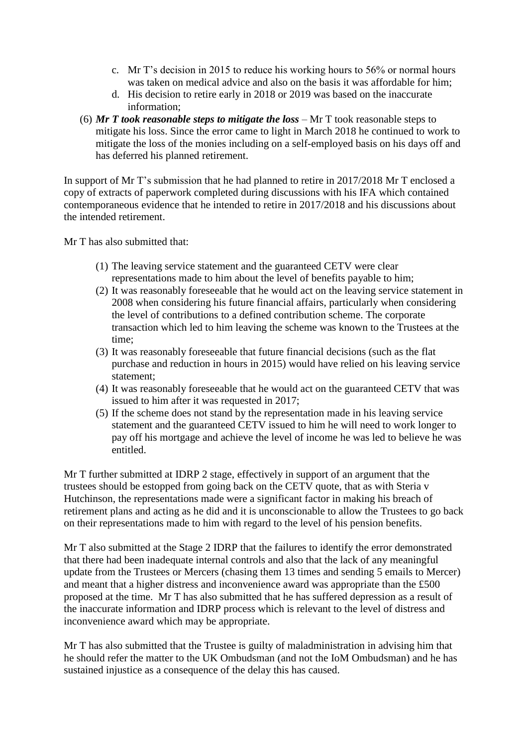- c. Mr T's decision in 2015 to reduce his working hours to 56% or normal hours was taken on medical advice and also on the basis it was affordable for him;
- d. His decision to retire early in 2018 or 2019 was based on the inaccurate information;
- (6) *Mr T took reasonable steps to mitigate the loss* Mr T took reasonable steps to mitigate his loss. Since the error came to light in March 2018 he continued to work to mitigate the loss of the monies including on a self-employed basis on his days off and has deferred his planned retirement.

In support of Mr T's submission that he had planned to retire in 2017/2018 Mr T enclosed a copy of extracts of paperwork completed during discussions with his IFA which contained contemporaneous evidence that he intended to retire in 2017/2018 and his discussions about the intended retirement.

Mr T has also submitted that:

- (1) The leaving service statement and the guaranteed CETV were clear representations made to him about the level of benefits payable to him;
- (2) It was reasonably foreseeable that he would act on the leaving service statement in 2008 when considering his future financial affairs, particularly when considering the level of contributions to a defined contribution scheme. The corporate transaction which led to him leaving the scheme was known to the Trustees at the time;
- (3) It was reasonably foreseeable that future financial decisions (such as the flat purchase and reduction in hours in 2015) would have relied on his leaving service statement;
- (4) It was reasonably foreseeable that he would act on the guaranteed CETV that was issued to him after it was requested in 2017;
- (5) If the scheme does not stand by the representation made in his leaving service statement and the guaranteed CETV issued to him he will need to work longer to pay off his mortgage and achieve the level of income he was led to believe he was entitled.

Mr T further submitted at IDRP 2 stage, effectively in support of an argument that the trustees should be estopped from going back on the CETV quote, that as with Steria v Hutchinson, the representations made were a significant factor in making his breach of retirement plans and acting as he did and it is unconscionable to allow the Trustees to go back on their representations made to him with regard to the level of his pension benefits.

Mr T also submitted at the Stage 2 IDRP that the failures to identify the error demonstrated that there had been inadequate internal controls and also that the lack of any meaningful update from the Trustees or Mercers (chasing them 13 times and sending 5 emails to Mercer) and meant that a higher distress and inconvenience award was appropriate than the £500 proposed at the time. Mr T has also submitted that he has suffered depression as a result of the inaccurate information and IDRP process which is relevant to the level of distress and inconvenience award which may be appropriate.

Mr T has also submitted that the Trustee is guilty of maladministration in advising him that he should refer the matter to the UK Ombudsman (and not the IoM Ombudsman) and he has sustained injustice as a consequence of the delay this has caused.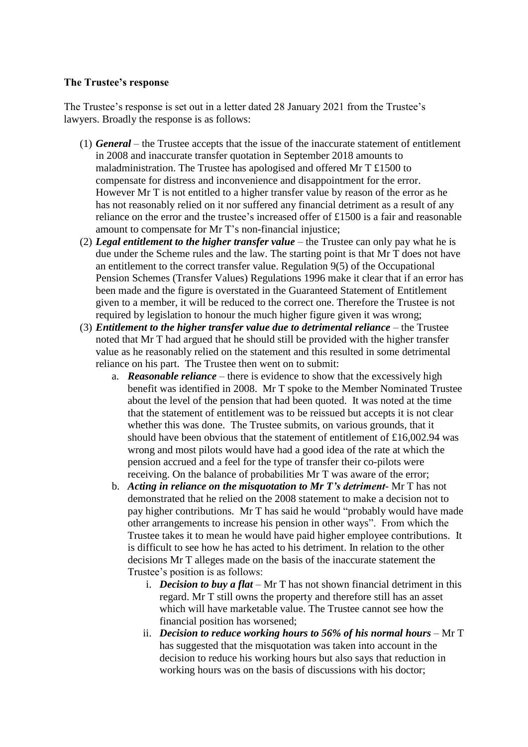#### **The Trustee's response**

The Trustee's response is set out in a letter dated 28 January 2021 from the Trustee's lawyers. Broadly the response is as follows:

- (1) *General* the Trustee accepts that the issue of the inaccurate statement of entitlement in 2008 and inaccurate transfer quotation in September 2018 amounts to maladministration. The Trustee has apologised and offered Mr T £1500 to compensate for distress and inconvenience and disappointment for the error. However Mr T is not entitled to a higher transfer value by reason of the error as he has not reasonably relied on it nor suffered any financial detriment as a result of any reliance on the error and the trustee's increased offer of £1500 is a fair and reasonable amount to compensate for Mr T's non-financial injustice;
- (2) *Legal entitlement to the higher transfer value –* the Trustee can only pay what he is due under the Scheme rules and the law. The starting point is that Mr T does not have an entitlement to the correct transfer value. Regulation 9(5) of the Occupational Pension Schemes (Transfer Values) Regulations 1996 make it clear that if an error has been made and the figure is overstated in the Guaranteed Statement of Entitlement given to a member, it will be reduced to the correct one. Therefore the Trustee is not required by legislation to honour the much higher figure given it was wrong;
- (3) *Entitlement to the higher transfer value due to detrimental reliance* the Trustee noted that Mr T had argued that he should still be provided with the higher transfer value as he reasonably relied on the statement and this resulted in some detrimental reliance on his part. The Trustee then went on to submit:
	- a. *Reasonable reliance*  there is evidence to show that the excessively high benefit was identified in 2008. Mr T spoke to the Member Nominated Trustee about the level of the pension that had been quoted. It was noted at the time that the statement of entitlement was to be reissued but accepts it is not clear whether this was done. The Trustee submits, on various grounds, that it should have been obvious that the statement of entitlement of £16,002.94 was wrong and most pilots would have had a good idea of the rate at which the pension accrued and a feel for the type of transfer their co-pilots were receiving. On the balance of probabilities Mr T was aware of the error;
	- b. *Acting in reliance on the misquotation to Mr T's detriment-* Mr T has not demonstrated that he relied on the 2008 statement to make a decision not to pay higher contributions. Mr T has said he would "probably would have made other arrangements to increase his pension in other ways". From which the Trustee takes it to mean he would have paid higher employee contributions. It is difficult to see how he has acted to his detriment. In relation to the other decisions Mr T alleges made on the basis of the inaccurate statement the Trustee's position is as follows:
		- i. *Decision to buy a flat –* Mr T has not shown financial detriment in this regard. Mr T still owns the property and therefore still has an asset which will have marketable value. The Trustee cannot see how the financial position has worsened;
		- ii. *Decision to reduce working hours to 56% of his normal hours* Mr T has suggested that the misquotation was taken into account in the decision to reduce his working hours but also says that reduction in working hours was on the basis of discussions with his doctor;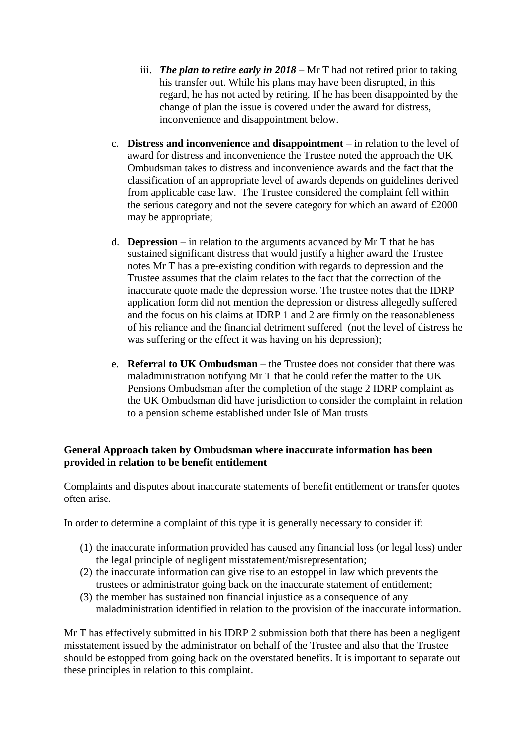- iii. *The plan to retire early in 2018* Mr T had not retired prior to taking his transfer out. While his plans may have been disrupted, in this regard, he has not acted by retiring. If he has been disappointed by the change of plan the issue is covered under the award for distress, inconvenience and disappointment below.
- c. **Distress and inconvenience and disappointment** in relation to the level of award for distress and inconvenience the Trustee noted the approach the UK Ombudsman takes to distress and inconvenience awards and the fact that the classification of an appropriate level of awards depends on guidelines derived from applicable case law. The Trustee considered the complaint fell within the serious category and not the severe category for which an award of £2000 may be appropriate;
- d. **Depression** in relation to the arguments advanced by Mr T that he has sustained significant distress that would justify a higher award the Trustee notes Mr T has a pre-existing condition with regards to depression and the Trustee assumes that the claim relates to the fact that the correction of the inaccurate quote made the depression worse. The trustee notes that the IDRP application form did not mention the depression or distress allegedly suffered and the focus on his claims at IDRP 1 and 2 are firmly on the reasonableness of his reliance and the financial detriment suffered (not the level of distress he was suffering or the effect it was having on his depression);
- e. **Referral to UK Ombudsman** the Trustee does not consider that there was maladministration notifying Mr T that he could refer the matter to the UK Pensions Ombudsman after the completion of the stage 2 IDRP complaint as the UK Ombudsman did have jurisdiction to consider the complaint in relation to a pension scheme established under Isle of Man trusts

### **General Approach taken by Ombudsman where inaccurate information has been provided in relation to be benefit entitlement**

Complaints and disputes about inaccurate statements of benefit entitlement or transfer quotes often arise.

In order to determine a complaint of this type it is generally necessary to consider if:

- (1) the inaccurate information provided has caused any financial loss (or legal loss) under the legal principle of negligent misstatement/misrepresentation;
- (2) the inaccurate information can give rise to an estoppel in law which prevents the trustees or administrator going back on the inaccurate statement of entitlement;
- (3) the member has sustained non financial injustice as a consequence of any maladministration identified in relation to the provision of the inaccurate information.

Mr T has effectively submitted in his IDRP 2 submission both that there has been a negligent misstatement issued by the administrator on behalf of the Trustee and also that the Trustee should be estopped from going back on the overstated benefits. It is important to separate out these principles in relation to this complaint.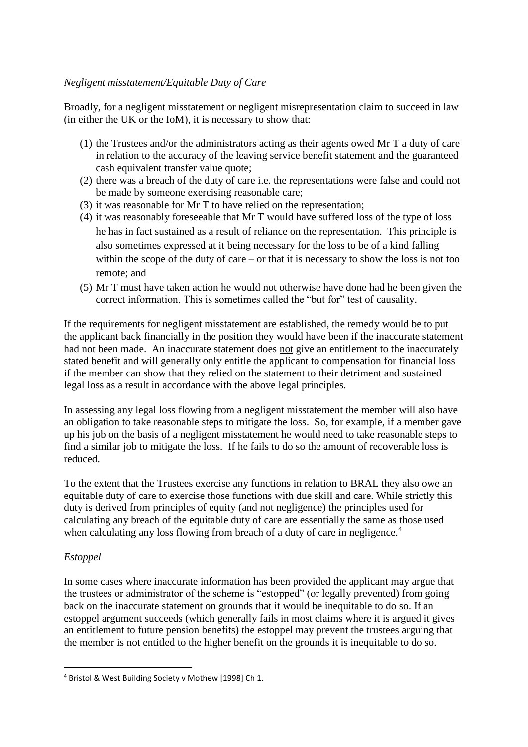#### *Negligent misstatement/Equitable Duty of Care*

Broadly, for a negligent misstatement or negligent misrepresentation claim to succeed in law (in either the UK or the IoM), it is necessary to show that:

- (1) the Trustees and/or the administrators acting as their agents owed Mr T a duty of care in relation to the accuracy of the leaving service benefit statement and the guaranteed cash equivalent transfer value quote;
- (2) there was a breach of the duty of care i.e. the representations were false and could not be made by someone exercising reasonable care;
- (3) it was reasonable for Mr T to have relied on the representation;
- (4) it was reasonably foreseeable that Mr T would have suffered loss of the type of loss he has in fact sustained as a result of reliance on the representation. This principle is also sometimes expressed at it being necessary for the loss to be of a kind falling within the scope of the duty of care – or that it is necessary to show the loss is not too remote; and
- (5) Mr T must have taken action he would not otherwise have done had he been given the correct information. This is sometimes called the "but for" test of causality.

If the requirements for negligent misstatement are established, the remedy would be to put the applicant back financially in the position they would have been if the inaccurate statement had not been made. An inaccurate statement does not give an entitlement to the inaccurately stated benefit and will generally only entitle the applicant to compensation for financial loss if the member can show that they relied on the statement to their detriment and sustained legal loss as a result in accordance with the above legal principles.

In assessing any legal loss flowing from a negligent misstatement the member will also have an obligation to take reasonable steps to mitigate the loss. So, for example, if a member gave up his job on the basis of a negligent misstatement he would need to take reasonable steps to find a similar job to mitigate the loss. If he fails to do so the amount of recoverable loss is reduced.

To the extent that the Trustees exercise any functions in relation to BRAL they also owe an equitable duty of care to exercise those functions with due skill and care. While strictly this duty is derived from principles of equity (and not negligence) the principles used for calculating any breach of the equitable duty of care are essentially the same as those used when calculating any loss flowing from breach of a duty of care in negligence.<sup>4</sup>

### *Estoppel*

**.** 

In some cases where inaccurate information has been provided the applicant may argue that the trustees or administrator of the scheme is "estopped" (or legally prevented) from going back on the inaccurate statement on grounds that it would be inequitable to do so. If an estoppel argument succeeds (which generally fails in most claims where it is argued it gives an entitlement to future pension benefits) the estoppel may prevent the trustees arguing that the member is not entitled to the higher benefit on the grounds it is inequitable to do so.

<sup>4</sup> Bristol & West Building Society v Mothew [1998] Ch 1.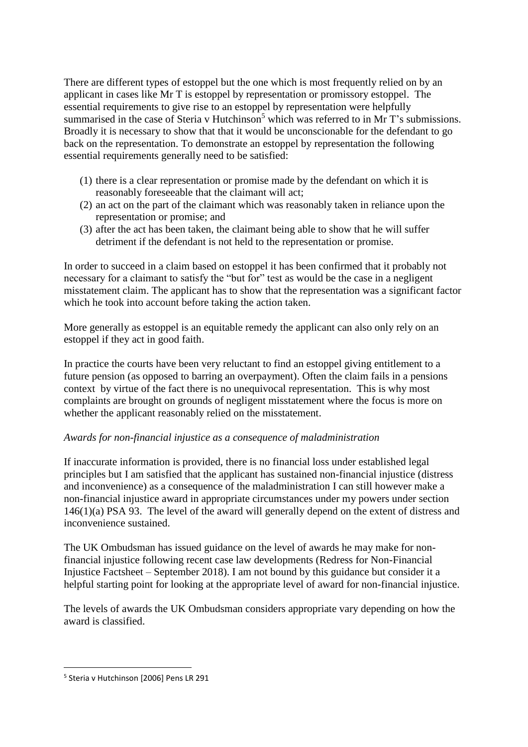There are different types of estoppel but the one which is most frequently relied on by an applicant in cases like Mr T is estoppel by representation or promissory estoppel. The essential requirements to give rise to an estoppel by representation were helpfully summarised in the case of Steria v Hutchinson<sup>5</sup> which was referred to in Mr T's submissions. Broadly it is necessary to show that that it would be unconscionable for the defendant to go back on the representation. To demonstrate an estoppel by representation the following essential requirements generally need to be satisfied:

- (1) there is a clear representation or promise made by the defendant on which it is reasonably foreseeable that the claimant will act;
- (2) an act on the part of the claimant which was reasonably taken in reliance upon the representation or promise; and
- (3) after the act has been taken, the claimant being able to show that he will suffer detriment if the defendant is not held to the representation or promise.

In order to succeed in a claim based on estoppel it has been confirmed that it probably not necessary for a claimant to satisfy the "but for" test as would be the case in a negligent misstatement claim. The applicant has to show that the representation was a significant factor which he took into account before taking the action taken.

More generally as estoppel is an equitable remedy the applicant can also only rely on an estoppel if they act in good faith.

In practice the courts have been very reluctant to find an estoppel giving entitlement to a future pension (as opposed to barring an overpayment). Often the claim fails in a pensions context by virtue of the fact there is no unequivocal representation. This is why most complaints are brought on grounds of negligent misstatement where the focus is more on whether the applicant reasonably relied on the misstatement.

### *Awards for non-financial injustice as a consequence of maladministration*

If inaccurate information is provided, there is no financial loss under established legal principles but I am satisfied that the applicant has sustained non-financial injustice (distress and inconvenience) as a consequence of the maladministration I can still however make a non-financial injustice award in appropriate circumstances under my powers under section 146(1)(a) PSA 93. The level of the award will generally depend on the extent of distress and inconvenience sustained.

The UK Ombudsman has issued guidance on the level of awards he may make for nonfinancial injustice following recent case law developments (Redress for Non-Financial Injustice Factsheet – September 2018). I am not bound by this guidance but consider it a helpful starting point for looking at the appropriate level of award for non-financial injustice.

The levels of awards the UK Ombudsman considers appropriate vary depending on how the award is classified.

**.** 

<sup>5</sup> Steria v Hutchinson [2006] Pens LR 291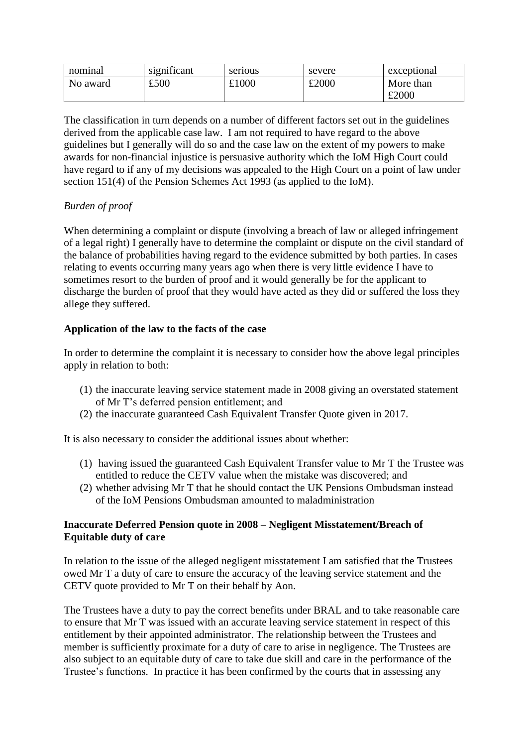| nominal  | significant | serious | severe | exceptional |
|----------|-------------|---------|--------|-------------|
| No award | £500        | £1000   | £2000  | More than   |
|          |             |         |        | £2000       |

The classification in turn depends on a number of different factors set out in the guidelines derived from the applicable case law. I am not required to have regard to the above guidelines but I generally will do so and the case law on the extent of my powers to make awards for non-financial injustice is persuasive authority which the IoM High Court could have regard to if any of my decisions was appealed to the High Court on a point of law under section 151(4) of the Pension Schemes Act 1993 (as applied to the IoM).

### *Burden of proof*

When determining a complaint or dispute (involving a breach of law or alleged infringement of a legal right) I generally have to determine the complaint or dispute on the civil standard of the balance of probabilities having regard to the evidence submitted by both parties. In cases relating to events occurring many years ago when there is very little evidence I have to sometimes resort to the burden of proof and it would generally be for the applicant to discharge the burden of proof that they would have acted as they did or suffered the loss they allege they suffered.

### **Application of the law to the facts of the case**

In order to determine the complaint it is necessary to consider how the above legal principles apply in relation to both:

- (1) the inaccurate leaving service statement made in 2008 giving an overstated statement of Mr T's deferred pension entitlement; and
- (2) the inaccurate guaranteed Cash Equivalent Transfer Quote given in 2017.

It is also necessary to consider the additional issues about whether:

- (1) having issued the guaranteed Cash Equivalent Transfer value to Mr T the Trustee was entitled to reduce the CETV value when the mistake was discovered; and
- (2) whether advising Mr T that he should contact the UK Pensions Ombudsman instead of the IoM Pensions Ombudsman amounted to maladministration

### **Inaccurate Deferred Pension quote in 2008 – Negligent Misstatement/Breach of Equitable duty of care**

In relation to the issue of the alleged negligent misstatement I am satisfied that the Trustees owed Mr T a duty of care to ensure the accuracy of the leaving service statement and the CETV quote provided to Mr T on their behalf by Aon.

The Trustees have a duty to pay the correct benefits under BRAL and to take reasonable care to ensure that Mr T was issued with an accurate leaving service statement in respect of this entitlement by their appointed administrator. The relationship between the Trustees and member is sufficiently proximate for a duty of care to arise in negligence. The Trustees are also subject to an equitable duty of care to take due skill and care in the performance of the Trustee's functions. In practice it has been confirmed by the courts that in assessing any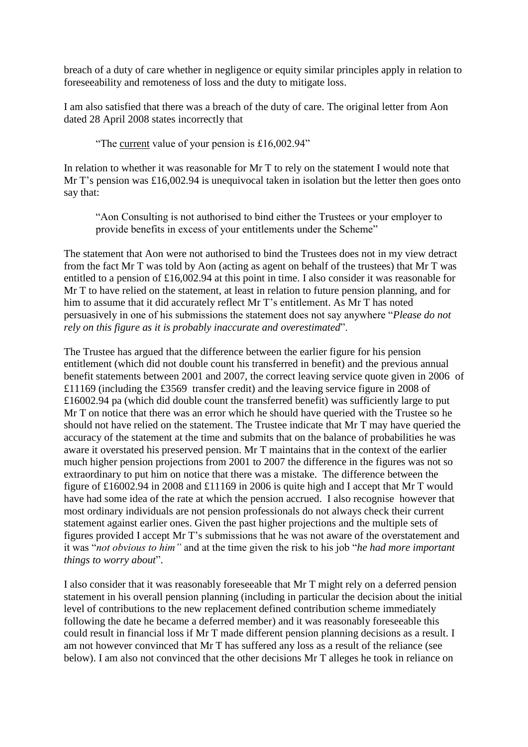breach of a duty of care whether in negligence or equity similar principles apply in relation to foreseeability and remoteness of loss and the duty to mitigate loss.

I am also satisfied that there was a breach of the duty of care. The original letter from Aon dated 28 April 2008 states incorrectly that

"The current value of your pension is £16,002.94"

In relation to whether it was reasonable for Mr T to rely on the statement I would note that Mr T's pension was £16,002.94 is unequivocal taken in isolation but the letter then goes onto say that:

"Aon Consulting is not authorised to bind either the Trustees or your employer to provide benefits in excess of your entitlements under the Scheme"

The statement that Aon were not authorised to bind the Trustees does not in my view detract from the fact Mr T was told by Aon (acting as agent on behalf of the trustees) that Mr T was entitled to a pension of £16,002.94 at this point in time. I also consider it was reasonable for Mr T to have relied on the statement, at least in relation to future pension planning, and for him to assume that it did accurately reflect Mr T's entitlement. As Mr T has noted persuasively in one of his submissions the statement does not say anywhere "*Please do not rely on this figure as it is probably inaccurate and overestimated*".

The Trustee has argued that the difference between the earlier figure for his pension entitlement (which did not double count his transferred in benefit) and the previous annual benefit statements between 2001 and 2007, the correct leaving service quote given in 2006 of £11169 (including the £3569 transfer credit) and the leaving service figure in 2008 of £16002.94 pa (which did double count the transferred benefit) was sufficiently large to put Mr T on notice that there was an error which he should have queried with the Trustee so he should not have relied on the statement. The Trustee indicate that Mr T may have queried the accuracy of the statement at the time and submits that on the balance of probabilities he was aware it overstated his preserved pension. Mr T maintains that in the context of the earlier much higher pension projections from 2001 to 2007 the difference in the figures was not so extraordinary to put him on notice that there was a mistake. The difference between the figure of £16002.94 in 2008 and £11169 in 2006 is quite high and I accept that Mr T would have had some idea of the rate at which the pension accrued. I also recognise however that most ordinary individuals are not pension professionals do not always check their current statement against earlier ones. Given the past higher projections and the multiple sets of figures provided I accept Mr T's submissions that he was not aware of the overstatement and it was "*not obvious to him"* and at the time given the risk to his job "*he had more important things to worry about*".

I also consider that it was reasonably foreseeable that Mr T might rely on a deferred pension statement in his overall pension planning (including in particular the decision about the initial level of contributions to the new replacement defined contribution scheme immediately following the date he became a deferred member) and it was reasonably foreseeable this could result in financial loss if Mr T made different pension planning decisions as a result. I am not however convinced that Mr T has suffered any loss as a result of the reliance (see below). I am also not convinced that the other decisions Mr T alleges he took in reliance on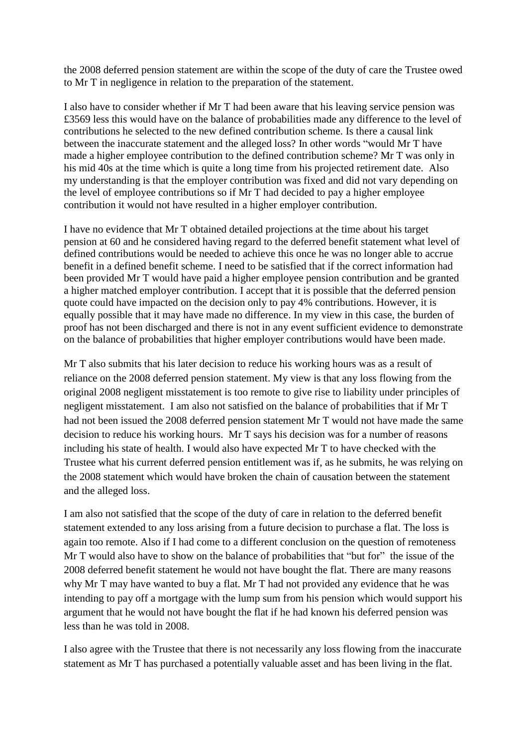the 2008 deferred pension statement are within the scope of the duty of care the Trustee owed to Mr T in negligence in relation to the preparation of the statement.

I also have to consider whether if Mr T had been aware that his leaving service pension was £3569 less this would have on the balance of probabilities made any difference to the level of contributions he selected to the new defined contribution scheme. Is there a causal link between the inaccurate statement and the alleged loss? In other words "would Mr T have made a higher employee contribution to the defined contribution scheme? Mr T was only in his mid 40s at the time which is quite a long time from his projected retirement date. Also my understanding is that the employer contribution was fixed and did not vary depending on the level of employee contributions so if Mr T had decided to pay a higher employee contribution it would not have resulted in a higher employer contribution.

I have no evidence that Mr T obtained detailed projections at the time about his target pension at 60 and he considered having regard to the deferred benefit statement what level of defined contributions would be needed to achieve this once he was no longer able to accrue benefit in a defined benefit scheme. I need to be satisfied that if the correct information had been provided Mr T would have paid a higher employee pension contribution and be granted a higher matched employer contribution. I accept that it is possible that the deferred pension quote could have impacted on the decision only to pay 4% contributions. However, it is equally possible that it may have made no difference. In my view in this case, the burden of proof has not been discharged and there is not in any event sufficient evidence to demonstrate on the balance of probabilities that higher employer contributions would have been made.

Mr T also submits that his later decision to reduce his working hours was as a result of reliance on the 2008 deferred pension statement. My view is that any loss flowing from the original 2008 negligent misstatement is too remote to give rise to liability under principles of negligent misstatement. I am also not satisfied on the balance of probabilities that if Mr T had not been issued the 2008 deferred pension statement Mr T would not have made the same decision to reduce his working hours. Mr T says his decision was for a number of reasons including his state of health. I would also have expected Mr T to have checked with the Trustee what his current deferred pension entitlement was if, as he submits, he was relying on the 2008 statement which would have broken the chain of causation between the statement and the alleged loss.

I am also not satisfied that the scope of the duty of care in relation to the deferred benefit statement extended to any loss arising from a future decision to purchase a flat. The loss is again too remote. Also if I had come to a different conclusion on the question of remoteness Mr T would also have to show on the balance of probabilities that "but for" the issue of the 2008 deferred benefit statement he would not have bought the flat. There are many reasons why Mr T may have wanted to buy a flat. Mr T had not provided any evidence that he was intending to pay off a mortgage with the lump sum from his pension which would support his argument that he would not have bought the flat if he had known his deferred pension was less than he was told in 2008.

I also agree with the Trustee that there is not necessarily any loss flowing from the inaccurate statement as Mr T has purchased a potentially valuable asset and has been living in the flat.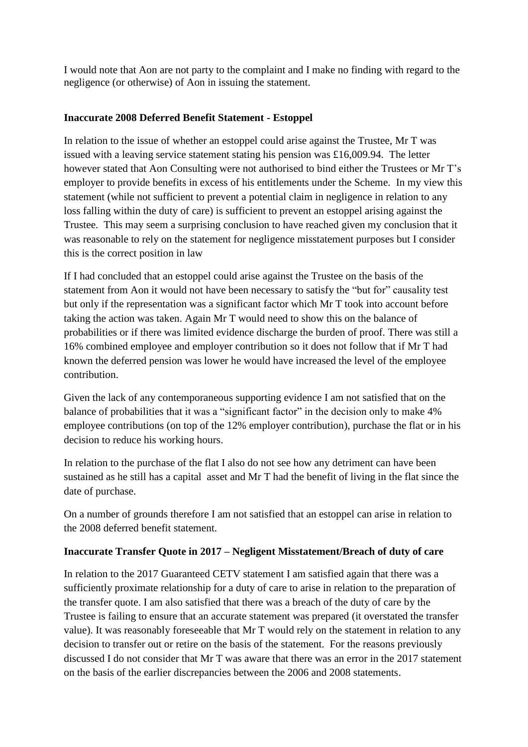I would note that Aon are not party to the complaint and I make no finding with regard to the negligence (or otherwise) of Aon in issuing the statement.

### **Inaccurate 2008 Deferred Benefit Statement - Estoppel**

In relation to the issue of whether an estoppel could arise against the Trustee, Mr T was issued with a leaving service statement stating his pension was £16,009.94. The letter however stated that Aon Consulting were not authorised to bind either the Trustees or Mr T's employer to provide benefits in excess of his entitlements under the Scheme. In my view this statement (while not sufficient to prevent a potential claim in negligence in relation to any loss falling within the duty of care) is sufficient to prevent an estoppel arising against the Trustee. This may seem a surprising conclusion to have reached given my conclusion that it was reasonable to rely on the statement for negligence misstatement purposes but I consider this is the correct position in law

If I had concluded that an estoppel could arise against the Trustee on the basis of the statement from Aon it would not have been necessary to satisfy the "but for" causality test but only if the representation was a significant factor which Mr T took into account before taking the action was taken. Again Mr T would need to show this on the balance of probabilities or if there was limited evidence discharge the burden of proof. There was still a 16% combined employee and employer contribution so it does not follow that if Mr T had known the deferred pension was lower he would have increased the level of the employee contribution.

Given the lack of any contemporaneous supporting evidence I am not satisfied that on the balance of probabilities that it was a "significant factor" in the decision only to make 4% employee contributions (on top of the 12% employer contribution), purchase the flat or in his decision to reduce his working hours.

In relation to the purchase of the flat I also do not see how any detriment can have been sustained as he still has a capital asset and Mr T had the benefit of living in the flat since the date of purchase.

On a number of grounds therefore I am not satisfied that an estoppel can arise in relation to the 2008 deferred benefit statement.

### **Inaccurate Transfer Quote in 2017 – Negligent Misstatement/Breach of duty of care**

In relation to the 2017 Guaranteed CETV statement I am satisfied again that there was a sufficiently proximate relationship for a duty of care to arise in relation to the preparation of the transfer quote. I am also satisfied that there was a breach of the duty of care by the Trustee is failing to ensure that an accurate statement was prepared (it overstated the transfer value). It was reasonably foreseeable that Mr T would rely on the statement in relation to any decision to transfer out or retire on the basis of the statement. For the reasons previously discussed I do not consider that Mr T was aware that there was an error in the 2017 statement on the basis of the earlier discrepancies between the 2006 and 2008 statements.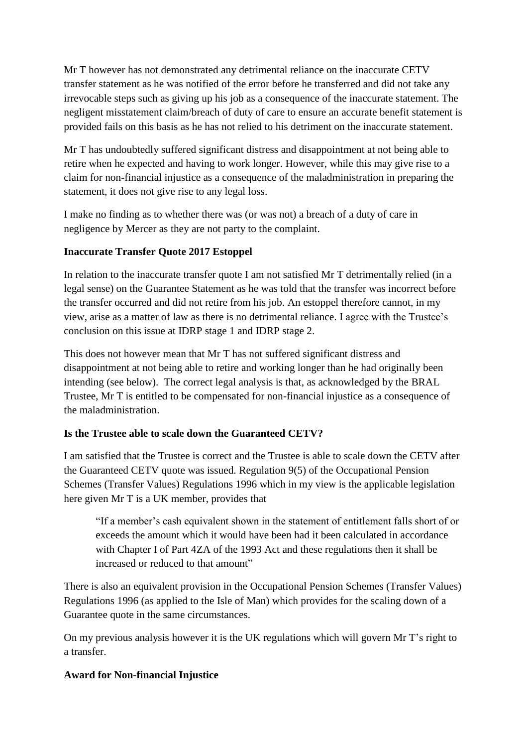Mr T however has not demonstrated any detrimental reliance on the inaccurate CETV transfer statement as he was notified of the error before he transferred and did not take any irrevocable steps such as giving up his job as a consequence of the inaccurate statement. The negligent misstatement claim/breach of duty of care to ensure an accurate benefit statement is provided fails on this basis as he has not relied to his detriment on the inaccurate statement.

Mr T has undoubtedly suffered significant distress and disappointment at not being able to retire when he expected and having to work longer. However, while this may give rise to a claim for non-financial injustice as a consequence of the maladministration in preparing the statement, it does not give rise to any legal loss.

I make no finding as to whether there was (or was not) a breach of a duty of care in negligence by Mercer as they are not party to the complaint.

# **Inaccurate Transfer Quote 2017 Estoppel**

In relation to the inaccurate transfer quote I am not satisfied Mr T detrimentally relied (in a legal sense) on the Guarantee Statement as he was told that the transfer was incorrect before the transfer occurred and did not retire from his job. An estoppel therefore cannot, in my view, arise as a matter of law as there is no detrimental reliance. I agree with the Trustee's conclusion on this issue at IDRP stage 1 and IDRP stage 2.

This does not however mean that Mr T has not suffered significant distress and disappointment at not being able to retire and working longer than he had originally been intending (see below). The correct legal analysis is that, as acknowledged by the BRAL Trustee, Mr T is entitled to be compensated for non-financial injustice as a consequence of the maladministration.

### **Is the Trustee able to scale down the Guaranteed CETV?**

I am satisfied that the Trustee is correct and the Trustee is able to scale down the CETV after the Guaranteed CETV quote was issued. Regulation 9(5) of the Occupational Pension Schemes (Transfer Values) Regulations 1996 which in my view is the applicable legislation here given Mr T is a UK member, provides that

"If a member's cash equivalent shown in the statement of entitlement falls short of or exceeds the amount which it would have been had it been calculated in accordance with Chapter I of Part 4ZA of the 1993 Act and these regulations then it shall be increased or reduced to that amount"

There is also an equivalent provision in the Occupational Pension Schemes (Transfer Values) Regulations 1996 (as applied to the Isle of Man) which provides for the scaling down of a Guarantee quote in the same circumstances.

On my previous analysis however it is the UK regulations which will govern Mr T's right to a transfer.

# **Award for Non-financial Injustice**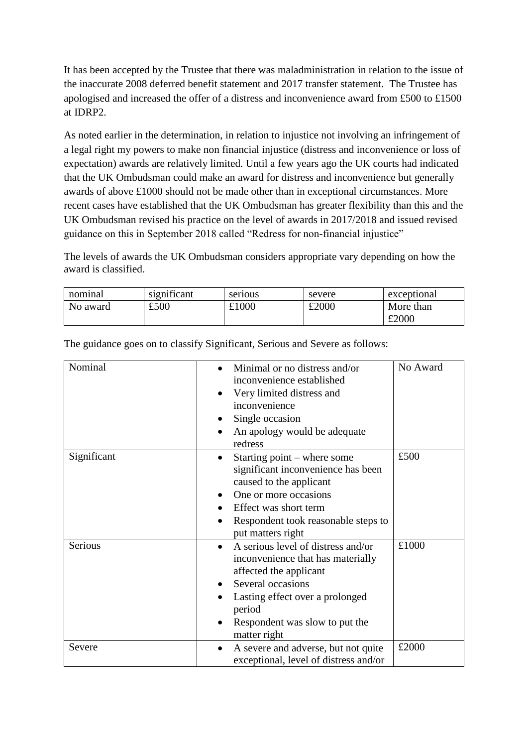It has been accepted by the Trustee that there was maladministration in relation to the issue of the inaccurate 2008 deferred benefit statement and 2017 transfer statement. The Trustee has apologised and increased the offer of a distress and inconvenience award from £500 to £1500 at IDRP2.

As noted earlier in the determination, in relation to injustice not involving an infringement of a legal right my powers to make non financial injustice (distress and inconvenience or loss of expectation) awards are relatively limited. Until a few years ago the UK courts had indicated that the UK Ombudsman could make an award for distress and inconvenience but generally awards of above £1000 should not be made other than in exceptional circumstances. More recent cases have established that the UK Ombudsman has greater flexibility than this and the UK Ombudsman revised his practice on the level of awards in 2017/2018 and issued revised guidance on this in September 2018 called "Redress for non-financial injustice"

The levels of awards the UK Ombudsman considers appropriate vary depending on how the award is classified.

| nominal  | $\cdot$ $\sim$<br>significant | serious | severe | exceptional |
|----------|-------------------------------|---------|--------|-------------|
| No award | £500                          | £1000   | £2000  | More than   |
|          |                               |         |        | £2000       |

| Nominal     | Minimal or no distress and/or<br>inconvenience established<br>Very limited distress and<br>inconvenience<br>Single occasion<br>An apology would be adequate<br>redress                                                | No Award |
|-------------|-----------------------------------------------------------------------------------------------------------------------------------------------------------------------------------------------------------------------|----------|
| Significant | Starting point – where some<br>significant inconvenience has been<br>caused to the applicant<br>One or more occasions<br>Effect was short term<br>Respondent took reasonable steps to<br>put matters right            | £500     |
| Serious     | A serious level of distress and/or<br>inconvenience that has materially<br>affected the applicant<br>Several occasions<br>Lasting effect over a prolonged<br>period<br>Respondent was slow to put the<br>matter right | £1000    |
| Severe      | A severe and adverse, but not quite<br>exceptional, level of distress and/or                                                                                                                                          | £2000    |

The guidance goes on to classify Significant, Serious and Severe as follows: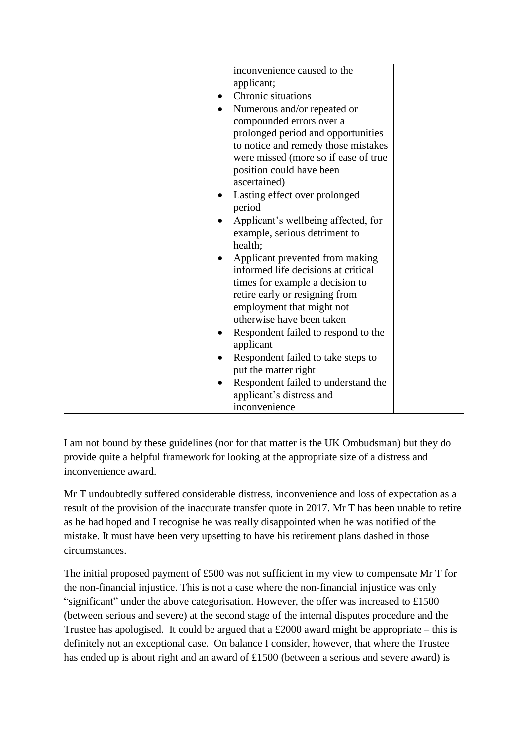| inconvenience caused to the              |  |
|------------------------------------------|--|
| applicant;                               |  |
| Chronic situations<br>$\bullet$          |  |
| Numerous and/or repeated or<br>$\bullet$ |  |
| compounded errors over a                 |  |
| prolonged period and opportunities       |  |
| to notice and remedy those mistakes      |  |
| were missed (more so if ease of true     |  |
| position could have been                 |  |
| ascertained)                             |  |
| Lasting effect over prolonged            |  |
| period                                   |  |
| Applicant's wellbeing affected, for      |  |
| example, serious detriment to            |  |
| health;                                  |  |
| Applicant prevented from making          |  |
| informed life decisions at critical      |  |
| times for example a decision to          |  |
| retire early or resigning from           |  |
| employment that might not                |  |
| otherwise have been taken                |  |
| Respondent failed to respond to the      |  |
| applicant                                |  |
| Respondent failed to take steps to       |  |
| put the matter right                     |  |
| Respondent failed to understand the      |  |
| applicant's distress and                 |  |
| inconvenience                            |  |

I am not bound by these guidelines (nor for that matter is the UK Ombudsman) but they do provide quite a helpful framework for looking at the appropriate size of a distress and inconvenience award.

Mr T undoubtedly suffered considerable distress, inconvenience and loss of expectation as a result of the provision of the inaccurate transfer quote in 2017. Mr T has been unable to retire as he had hoped and I recognise he was really disappointed when he was notified of the mistake. It must have been very upsetting to have his retirement plans dashed in those circumstances.

The initial proposed payment of £500 was not sufficient in my view to compensate Mr T for the non-financial injustice. This is not a case where the non-financial injustice was only "significant" under the above categorisation. However, the offer was increased to £1500 (between serious and severe) at the second stage of the internal disputes procedure and the Trustee has apologised. It could be argued that a £2000 award might be appropriate – this is definitely not an exceptional case. On balance I consider, however, that where the Trustee has ended up is about right and an award of £1500 (between a serious and severe award) is